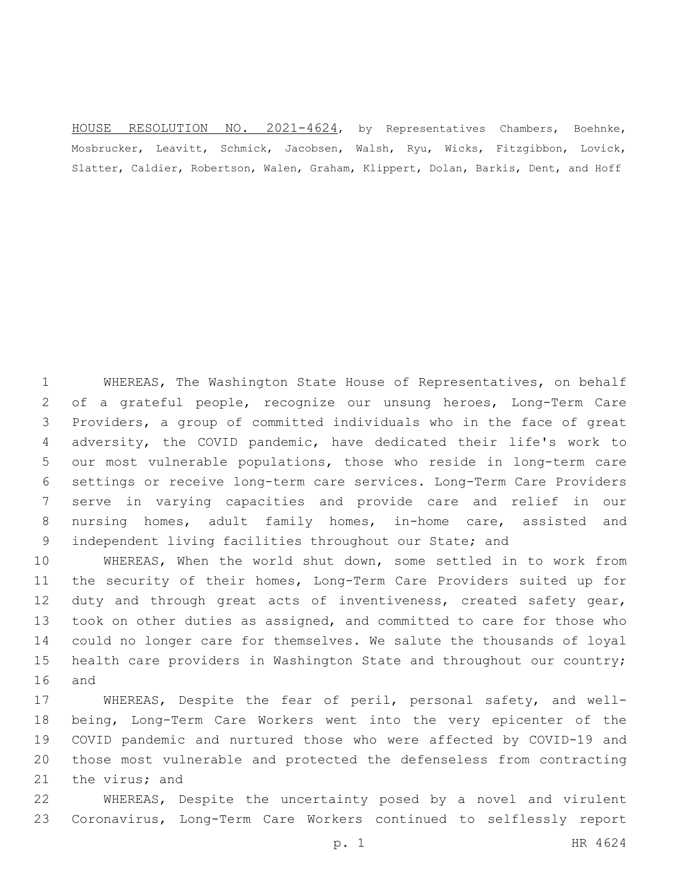HOUSE RESOLUTION NO. 2021-4624, by Representatives Chambers, Boehnke, Mosbrucker, Leavitt, Schmick, Jacobsen, Walsh, Ryu, Wicks, Fitzgibbon, Lovick, Slatter, Caldier, Robertson, Walen, Graham, Klippert, Dolan, Barkis, Dent, and Hoff

 WHEREAS, The Washington State House of Representatives, on behalf of a grateful people, recognize our unsung heroes, Long-Term Care Providers, a group of committed individuals who in the face of great adversity, the COVID pandemic, have dedicated their life's work to our most vulnerable populations, those who reside in long-term care settings or receive long-term care services. Long-Term Care Providers serve in varying capacities and provide care and relief in our nursing homes, adult family homes, in-home care, assisted and independent living facilities throughout our State; and

 WHEREAS, When the world shut down, some settled in to work from the security of their homes, Long-Term Care Providers suited up for 12 duty and through great acts of inventiveness, created safety gear, took on other duties as assigned, and committed to care for those who could no longer care for themselves. We salute the thousands of loyal health care providers in Washington State and throughout our country; 16 and

 WHEREAS, Despite the fear of peril, personal safety, and well- being, Long-Term Care Workers went into the very epicenter of the COVID pandemic and nurtured those who were affected by COVID-19 and those most vulnerable and protected the defenseless from contracting 21 the virus; and

 WHEREAS, Despite the uncertainty posed by a novel and virulent Coronavirus, Long-Term Care Workers continued to selflessly report